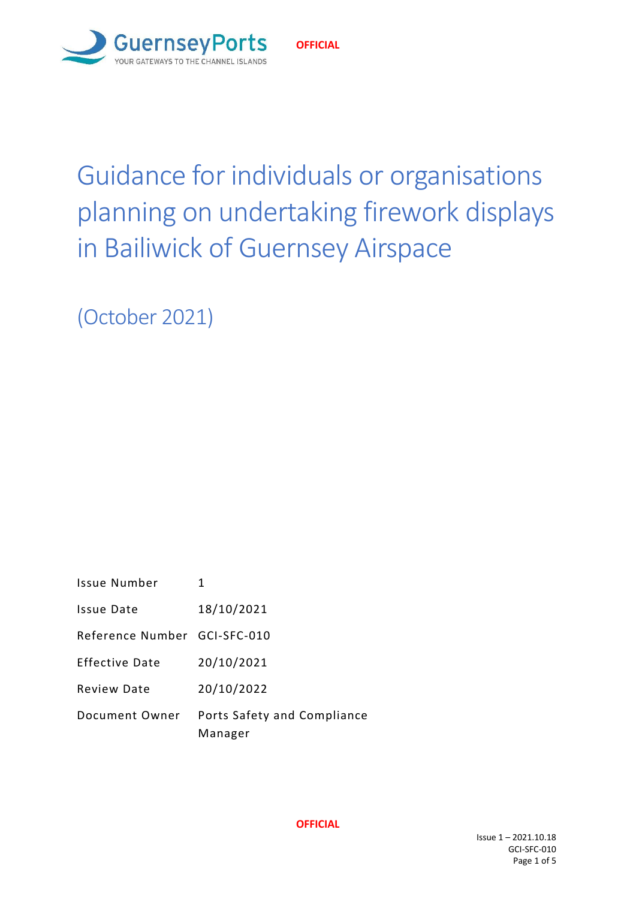

#### **OFFICIAL**

# Guidance for individuals or organisations planning on undertaking firework displays in Bailiwick of Guernsey Airspace

(October 2021)

| <b>Issue Number</b>          | 1                                      |
|------------------------------|----------------------------------------|
| Issue Date                   | 18/10/2021                             |
| Reference Number GCI-SFC-010 |                                        |
| Effective Date               | 20/10/2021                             |
| <b>Review Date</b>           | 20/10/2022                             |
| Document Owner               | Ports Safety and Compliance<br>Manager |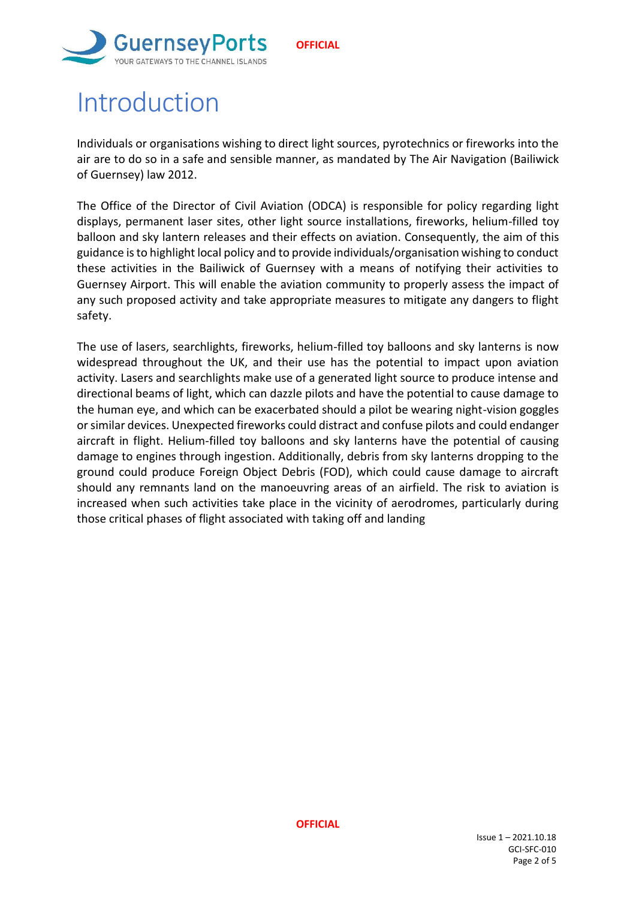



## Introduction

Individuals or organisations wishing to direct light sources, pyrotechnics or fireworks into the air are to do so in a safe and sensible manner, as mandated by The Air Navigation (Bailiwick of Guernsey) law 2012.

The Office of the Director of Civil Aviation (ODCA) is responsible for policy regarding light displays, permanent laser sites, other light source installations, fireworks, helium-filled toy balloon and sky lantern releases and their effects on aviation. Consequently, the aim of this guidance is to highlight local policy and to provide individuals/organisation wishing to conduct these activities in the Bailiwick of Guernsey with a means of notifying their activities to Guernsey Airport. This will enable the aviation community to properly assess the impact of any such proposed activity and take appropriate measures to mitigate any dangers to flight safety.

The use of lasers, searchlights, fireworks, helium-filled toy balloons and sky lanterns is now widespread throughout the UK, and their use has the potential to impact upon aviation activity. Lasers and searchlights make use of a generated light source to produce intense and directional beams of light, which can dazzle pilots and have the potential to cause damage to the human eye, and which can be exacerbated should a pilot be wearing night-vision goggles or similar devices. Unexpected fireworks could distract and confuse pilots and could endanger aircraft in flight. Helium-filled toy balloons and sky lanterns have the potential of causing damage to engines through ingestion. Additionally, debris from sky lanterns dropping to the ground could produce Foreign Object Debris (FOD), which could cause damage to aircraft should any remnants land on the manoeuvring areas of an airfield. The risk to aviation is increased when such activities take place in the vicinity of aerodromes, particularly during those critical phases of flight associated with taking off and landing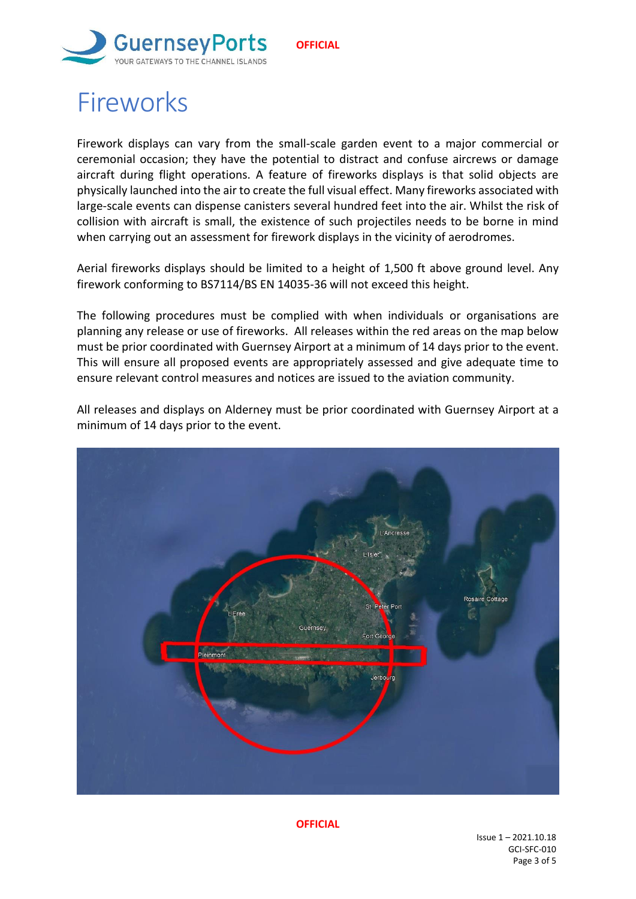

## **Fireworks**

Firework displays can vary from the small-scale garden event to a major commercial or ceremonial occasion; they have the potential to distract and confuse aircrews or damage aircraft during flight operations. A feature of fireworks displays is that solid objects are physically launched into the air to create the full visual effect. Many fireworks associated with large-scale events can dispense canisters several hundred feet into the air. Whilst the risk of collision with aircraft is small, the existence of such projectiles needs to be borne in mind when carrying out an assessment for firework displays in the vicinity of aerodromes.

Aerial fireworks displays should be limited to a height of 1,500 ft above ground level. Any firework conforming to BS7114/BS EN 14035-36 will not exceed this height.

The following procedures must be complied with when individuals or organisations are planning any release or use of fireworks. All releases within the red areas on the map below must be prior coordinated with Guernsey Airport at a minimum of 14 days prior to the event. This will ensure all proposed events are appropriately assessed and give adequate time to ensure relevant control measures and notices are issued to the aviation community.



All releases and displays on Alderney must be prior coordinated with Guernsey Airport at a minimum of 14 days prior to the event.

**OFFICIAL**

Issue 1 – 2021.10.18 GCI-SFC-010 Page 3 of 5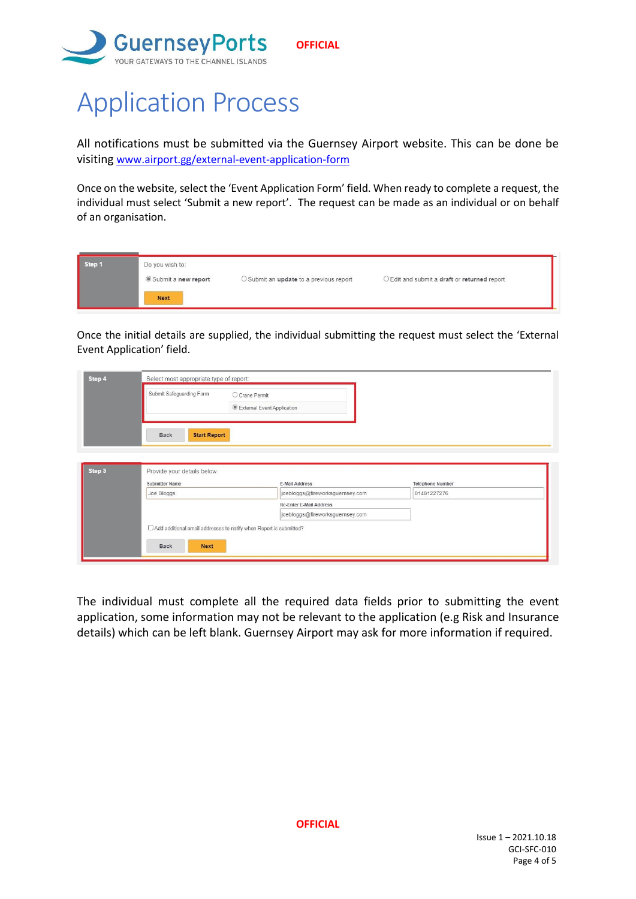

# Application Process

All notifications must be submitted via the Guernsey Airport website. This can be done be visiting [www.airport.gg/external-event-application-form](http://www.airport.gg/external-event-application-form)

Once on the website, select the 'Event Application Form' field. When ready to complete a request, the individual must select 'Submit a new report'. The request can be made as an individual or on behalf of an organisation.

| Step 1 | Do you wish to:<br>Submit a new report | O Submit an update to a previous report | O Edit and submit a draft or returned report |
|--------|----------------------------------------|-----------------------------------------|----------------------------------------------|
|        | <b>Next</b>                            |                                         |                                              |

Once the initial details are supplied, the individual submitting the request must select the 'External Event Application' field.

| Step 4 | Select most appropriate type of report:                              |                                   |                         |  |  |
|--------|----------------------------------------------------------------------|-----------------------------------|-------------------------|--|--|
|        | Submit Safeguarding Form                                             | O Crane Permit                    |                         |  |  |
|        |                                                                      | <b>External Event Application</b> |                         |  |  |
|        | <b>Start Report</b><br><b>Back</b>                                   |                                   |                         |  |  |
|        |                                                                      |                                   |                         |  |  |
| Step 3 | Provide your details below:                                          |                                   |                         |  |  |
|        | <b>Submitter Name</b>                                                | E-Mail Address                    | <b>Telephone Number</b> |  |  |
|        | Joe Bloggs                                                           | joebloggs@fireworksguernsey.com   | 01481227276             |  |  |
|        |                                                                      | Re-Enter E-Mail Address           |                         |  |  |
|        |                                                                      | joebloggs@fireworksguernsey.com   |                         |  |  |
|        | □ Add additional email addresses to notify when Report is submitted? |                                   |                         |  |  |
|        | <b>Back</b><br><b>Next</b>                                           |                                   |                         |  |  |

The individual must complete all the required data fields prior to submitting the event application, some information may not be relevant to the application (e.g Risk and Insurance details) which can be left blank. Guernsey Airport may ask for more information if required.